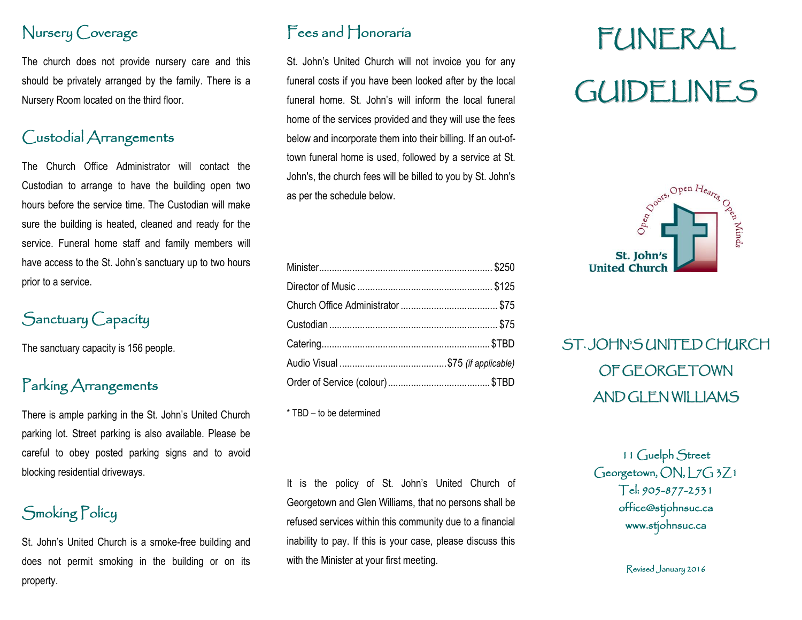# Nursery Coverage

The church does not provide nursery care and this should be privately arranged by the family. There is a Nursery Room located on the third floor.

#### Custodial Arrangements

The Church Office Administrator will contact the Custodian to arrange to have the building open two hours before the service time. The Custodian will make sure the building is heated, cleaned and ready for the service. Funeral home staff and family members will have access to the St. John's sanctuary up to two hours prior to a service.

# Sanctuary Capacity

The sanctuary capacity is 156 people.

#### Parking Arrangements

There is ample parking in the St. John's United Church parking lot. Street parking is also available. Please be careful to obey posted parking signs and to avoid blocking residential driveways.

#### Smoking Policy

St. John's United Church is a smoke-free building and does not permit smoking in the building or on its property.

#### Fees and Honoraria

St. John's United Church will not invoice you for any funeral costs if you have been looked after by the local funeral home. St. John's will inform the local funeral home of the services provided and they will use the fees below and incorporate them into their billing. If an out-oftown funeral home is used, followed by a service at St. John's, the church fees will be billed to you by St. John's as per the schedule below.

\* TBD – to be determined

It is the policy of St. John's United Church of Georgetown and Glen Williams, that no persons shall be refused services within this community due to a financial inability to pay. If this is your case, please discuss this with the Minister at your first meeting.

# FUNERAL GUIDELINES



# ST. JOHN'S UNITED CHURCH OF GEORGETOWN AND GLEN WILLIAMS

11 Guelph Street Georgetown, ON, L7G 3Z1 Tel: 905-877-2531 office@stjohnsuc.ca www.stjohnsuc.ca

Revised January 2016